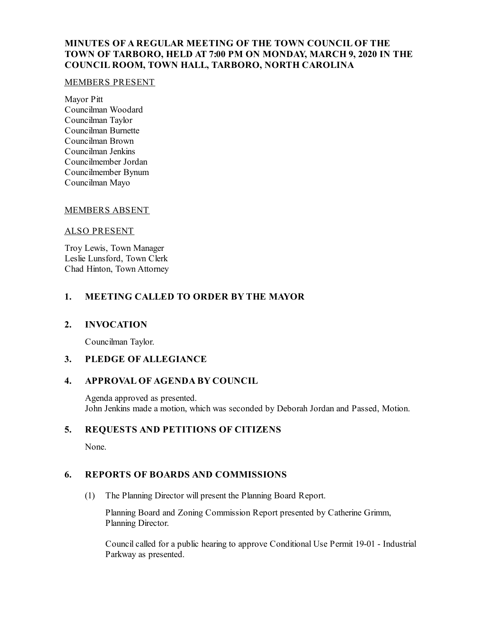# **MINUTES OF A REGULAR MEETING OF THE TOWN COUNCIL OF THE TOWN OF TARBORO, HELD AT 7:00 PM ON MONDAY, MARCH 9, 2020 IN THE COUNCIL ROOM, TOWN HALL, TARBORO, NORTH CAROLINA**

### MEMBERS PRESENT

Mayor Pitt Councilman Woodard Councilman Taylor Councilman Burnette Councilman Brown Councilman Jenkins Councilmember Jordan Councilmember Bynum Councilman Mayo

### MEMBERS ABSENT

### ALSO PRESENT

Troy Lewis, Town Manager Leslie Lunsford, Town Clerk Chad Hinton, Town Attorney

## **1. MEETING CALLED TO ORDER BY THE MAYOR**

### **2. INVOCATION**

Councilman Taylor.

## **3. PLEDGE OF ALLEGIANCE**

## **4. APPROVAL OF AGENDA BY COUNCIL**

Agenda approved as presented. John Jenkins made a motion, which was seconded by Deborah Jordan and Passed, Motion.

## **5. REQUESTS AND PETITIONS OF CITIZENS**

None.

## **6. REPORTS OF BOARDS AND COMMISSIONS**

(1) The Planning Director will present the Planning Board Report.

Planning Board and Zoning Commission Report presented by Catherine Grimm, Planning Director.

Councilcalled for a public hearing to approve Conditional Use Permit 19-01 - Industrial Parkway as presented.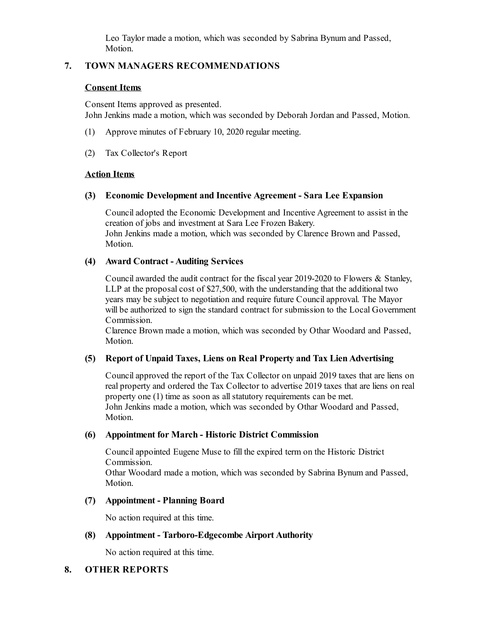Leo Taylor made a motion, which was seconded by Sabrina Bynum and Passed, Motion.

## **7. TOWN MANAGERS RECOMMENDATIONS**

### **Consent Items**

Consent Items approved as presented. John Jenkins made a motion, which was seconded by Deborah Jordan and Passed, Motion.

- (1) Approve minutes of February 10, 2020 regular meeting.
- (2) Tax Collector's Report

### **Action Items**

### **(3) Economic Development and Incentive Agreement - Sara Lee Expansion**

Counciladopted the Economic Development and Incentive Agreement to assist in the creation of jobs and investment at Sara Lee Frozen Bakery. John Jenkins made a motion, which was seconded by Clarence Brown and Passed, Motion.

### **(4) Award Contract - Auditing Services**

Council awarded the audit contract for the fiscal year  $2019-2020$  to Flowers & Stanley, LLP at the proposal cost of  $$27,500$ , with the understanding that the additional two years may be subject to negotiation and require future Councilapproval. The Mayor will be authorized to sign the standard contract for submission to the Local Government Commission.

Clarence Brown made a motion, which was seconded by Othar Woodard and Passed, Motion.

## **(5) Report of Unpaid Taxes, Liens on Real Property and Tax LienAdvertising**

Councilapproved the report of the Tax Collector on unpaid 2019 taxes that are liens on real property and ordered the Tax Collector to advertise 2019 taxes that are liens on real property one (1) time as soon as all statutory requirements can be met. John Jenkins made a motion, which was seconded by Othar Woodard and Passed, Motion.

### **(6) Appointment for March - Historic District Commission**

Councilappointed Eugene Muse to fill the expired term on the Historic District Commission.

Othar Woodard made a motion, which was seconded by Sabrina Bynum and Passed, Motion.

## **(7) Appointment - Planning Board**

No action required at this time.

### **(8) Appointment - Tarboro-Edgecombe Airport Authority**

No action required at this time.

### **8. OTHER REPORTS**